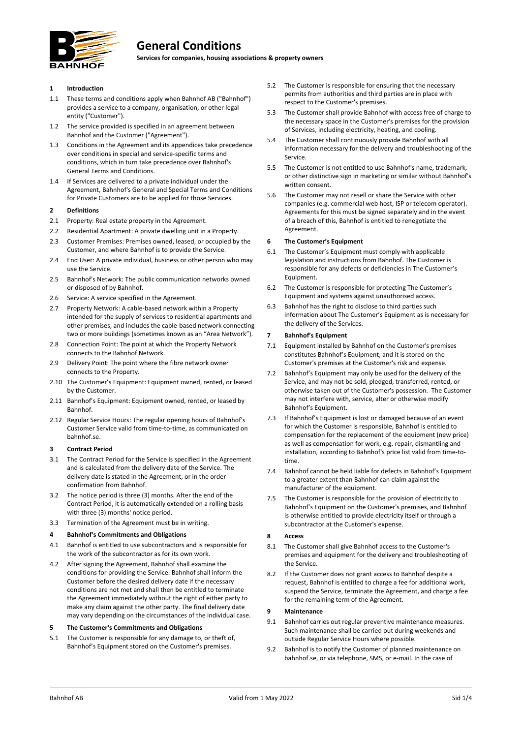

# **General Conditions**

**Services for companies, housing associations & property owners**

# **1 Introduction**

- 1.1 These terms and conditions apply when Bahnhof AB ("Bahnhof") provides a service to a company, organisation, or other legal entity ("Customer").
- 1.2 The service provided is specified in an agreement between Bahnhof and the Customer ("Agreement").
- 1.3 Conditions in the Agreement and its appendices take precedence over conditions in special and service-specific terms and conditions, which in turn take precedence over Bahnhof's General Terms and Conditions.
- 1.4 If Services are delivered to a private individual under the Agreement, Bahnhof's General and Special Terms and Conditions for Private Customers are to be applied for those Services.

#### **2 Definitions**

- 2.1 Property: Real estate property in the Agreement.
- 2.2 Residential Apartment: A private dwelling unit in a Property.
- 2.3 Customer Premises: Premises owned, leased, or occupied by the Customer, and where Bahnhof is to provide the Service.
- 2.4 End User: A private individual, business or other person who may use the Service.
- 2.5 Bahnhof's Network: The public communication networks owned or disposed of by Bahnhof.
- 2.6 Service: A service specified in the Agreement.
- 2.7 Property Network: A cable-based network within a Property intended for the supply of services to residential apartments and other premises, and includes the cable-based network connecting two or more buildings (sometimes known as an "Area Network").
- 2.8 Connection Point: The point at which the Property Network connects to the Bahnhof Network.
- 2.9 Delivery Point: The point where the fibre network owner connects to the Property.
- 2.10 The Customer's Equipment: Equipment owned, rented, or leased by the Customer.
- 2.11 Bahnhof's Equipment: Equipment owned, rented, or leased by Bahnhof.
- 2.12 Regular Service Hours: The regular opening hours of Bahnhof's Customer Service valid from time-to-time, as communicated on bahnhof.se.

#### **3 Contract Period**

- 3.1 The Contract Period for the Service is specified in the Agreement and is calculated from the delivery date of the Service. The delivery date is stated in the Agreement, or in the order confirmation from Bahnhof.
- 3.2 The notice period is three (3) months. After the end of the Contract Period, it is automatically extended on a rolling basis with three (3) months' notice period.
- 3.3 Termination of the Agreement must be in writing.

### **4 Bahnhof's Commitments and Obligations**

- 4.1 Bahnhof is entitled to use subcontractors and is responsible for the work of the subcontractor as for its own work.
- 4.2 After signing the Agreement, Bahnhof shall examine the conditions for providing the Service. Bahnhof shall inform the Customer before the desired delivery date if the necessary conditions are not met and shall then be entitled to terminate the Agreement immediately without the right of either party to make any claim against the other party. The final delivery date may vary depending on the circumstances of the individual case.

#### **5 The Customer's Commitments and Obligations**

5.1 The Customer is responsible for any damage to, or theft of, Bahnhof's Equipment stored on the Customer's premises.

- 5.2 The Customer is responsible for ensuring that the necessary permits from authorities and third parties are in place with respect to the Customer's premises.
- 5.3 The Customer shall provide Bahnhof with access free of charge to the necessary space in the Customer's premises for the provision of Services, including electricity, heating, and cooling.
- 5.4 The Customer shall continuously provide Bahnhof with all information necessary for the delivery and troubleshooting of the Service.
- 5.5 The Customer is not entitled to use Bahnhof's name, trademark, or other distinctive sign in marketing or similar without Bahnhof's written consent.
- 5.6 The Customer may not resell or share the Service with other companies (e.g. commercial web host, ISP or telecom operator). Agreements for this must be signed separately and in the event of a breach of this, Bahnhof is entitled to renegotiate the Agreement.

#### **6 The Customer's Equipment**

- 6.1 The Customer's Equipment must comply with applicable legislation and instructions from Bahnhof. The Customer is responsible for any defects or deficiencies in The Customer's Equipment.
- 6.2 The Customer is responsible for protecting The Customer's Equipment and systems against unauthorised access.
- 6.3 Bahnhof has the right to disclose to third parties such information about The Customer's Equipment as is necessary for the delivery of the Services.

# **7 Bahnhof's Equipment**

- 7.1 Equipment installed by Bahnhof on the Customer's premises constitutes Bahnhof's Equipment, and it is stored on the Customer's premises at the Customer's risk and expense.
- 7.2 Bahnhof's Equipment may only be used for the delivery of the Service, and may not be sold, pledged, transferred, rented, or otherwise taken out of the Customer's possession. The Customer may not interfere with, service, alter or otherwise modify Bahnhof's Equipment.
- 7.3 If Bahnhof's Equipment is lost or damaged because of an event for which the Customer is responsible, Bahnhof is entitled to compensation for the replacement of the equipment (new price) as well as compensation for work, e.g. repair, dismantling and installation, according to Bahnhof's price list valid from time-totime.
- 7.4 Bahnhof cannot be held liable for defects in Bahnhof's Equipment to a greater extent than Bahnhof can claim against the manufacturer of the equipment.
- 7.5 The Customer is responsible for the provision of electricity to Bahnhof's Equipment on the Customer's premises, and Bahnhof is otherwise entitled to provide electricity itself or through a subcontractor at the Customer's expense.

#### **8 Access**

- 8.1 The Customer shall give Bahnhof access to the Customer's premises and equipment for the delivery and troubleshooting of the Service.
- 8.2 If the Customer does not grant access to Bahnhof despite a request, Bahnhof is entitled to charge a fee for additional work, suspend the Service, terminate the Agreement, and charge a fee for the remaining term of the Agreement.

# **9 Maintenance**

- 9.1 Bahnhof carries out regular preventive maintenance measures. Such maintenance shall be carried out during weekends and outside Regular Service Hours where possible.
- 9.2 Bahnhof is to notify the Customer of planned maintenance on bahnhof.se, or via telephone, SMS, or e-mail. In the case of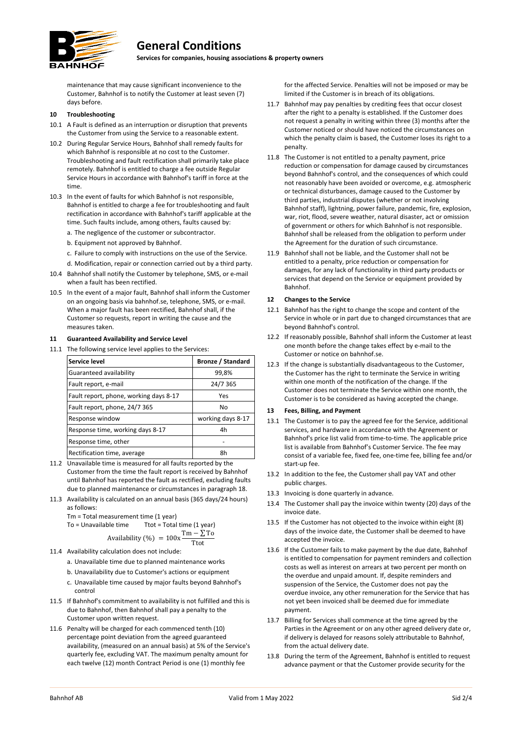

# **General Conditions**

**Services for companies, housing associations & property owners**

maintenance that may cause significant inconvenience to the Customer, Bahnhof is to notify the Customer at least seven (7) days before.

# **10 Troubleshooting**

- 10.1 A Fault is defined as an interruption or disruption that prevents the Customer from using the Service to a reasonable extent.
- 10.2 During Regular Service Hours, Bahnhof shall remedy faults for which Bahnhof is responsible at no cost to the Customer. Troubleshooting and fault rectification shall primarily take place remotely. Bahnhof is entitled to charge a fee outside Regular Service Hours in accordance with Bahnhof's tariff in force at the time.
- 10.3 In the event of faults for which Bahnhof is not responsible, Bahnhof is entitled to charge a fee for troubleshooting and fault rectification in accordance with Bahnhof's tariff applicable at the time. Such faults include, among others, faults caused by:
	- a. The negligence of the customer or subcontractor.
	- b. Equipment not approved by Bahnhof.
	- c. Failure to comply with instructions on the use of the Service.
	- d. Modification, repair or connection carried out by a third party.
- 10.4 Bahnhof shall notify the Customer by telephone, SMS, or e-mail when a fault has been rectified.
- 10.5 In the event of a major fault, Bahnhof shall inform the Customer on an ongoing basis via bahnhof.se, telephone, SMS, or e-mail. When a major fault has been rectified, Bahnhof shall, if the Customer so requests, report in writing the cause and the measures taken.

# **11 Guaranteed Availability and Service Level**

11.1 The following service level applies to the Services:

| Service level                          | <b>Bronze / Standard</b> |
|----------------------------------------|--------------------------|
| Guaranteed availability                | 99,8%                    |
| Fault report, e-mail                   | 24/7 365                 |
| Fault report, phone, working days 8-17 | Yes                      |
| Fault report, phone, 24/7 365          | No                       |
| Response window                        | working days 8-17        |
| Response time, working days 8-17       | 4h                       |
| Response time, other                   |                          |
| Rectification time, average            | 8h                       |

- 11.2 Unavailable time is measured for all faults reported by the Customer from the time the fault report is received by Bahnhof until Bahnhof has reported the fault as rectified, excluding faults due to planned maintenance or circumstances in paragrap[h 18.](#page-2-0)
- 11.3 Availability is calculated on an annual basis (365 days/24 hours) as follows:

Tm = Total measurement time (1 year)<br>To = Unavailable time Ttot = Total

To = Unavailable time  
 
$$
\overline{0}
$$
  $\overline{1}$   $\overline{1}$   $\overline{1}$   $\overline{1}$   $\overline{1}$   $\overline{1}$   $\overline{1}$   $\overline{1}$   $\overline{1}$   $\overline{1}$   $\overline{1}$   $\overline{1}$   $\overline{1}$   $\overline{1}$   $\overline{1}$   $\overline{1}$   $\overline{1}$   $\overline{1}$   $\overline{1}$   $\overline{1}$   $\overline{1}$   $\overline{1}$   $\overline{1}$   $\overline{1}$   $\overline{1}$   $\overline{1}$   $\overline{1}$   $\overline{1}$   $\overline{1}$   $\overline{1}$   $\overline{1}$   $\overline{1}$   $\overline{1}$   $\overline{1}$   $\overline{1}$   $\overline{1}$   $\overline{1}$   $\overline{1}$   $\overline{1}$   $\overline{1}$   $\overline{1}$   $\overline{1}$   $\overline{1}$   $\overline{1}$   $\overline{1}$   $\overline{1}$   $\overline{1}$   $\overline{1}$   $\overline{1}$   $\overline{1}$   $\overline{1}$   $\overline{1}$   $\overline{1}$   $\overline{1}$   $\overline{1}$   $\overline{1}$   $\overline{1}$   $\overline{1}$   $\overline{1}$   $\overline{1}$   $\overline{1}$   $\overline{1}$   $\overline{1}$   $\overline{1}$   $\overline{1}$   $\overline{1}$   $\overline{1}$   $\overline{1}$   $\overline{1}$   $\overline{1}$   $\overline{1}$   $\overline{1}$   $\overline{1}$   $\overline{1}$   $\overline{1}$ 

$$
\\\text{Availability } (\%) = 100x \frac{1 \text{ m} - 2}{\text{Tot}}
$$

- 11.4 Availability calculation does not include:
	- a. Unavailable time due to planned maintenance works
	- b. Unavailability due to Customer's actions or equipment
	- c. Unavailable time caused by major faults beyond Bahnhof's control
- 11.5 If Bahnhof's commitment to availability is not fulfilled and this is due to Bahnhof, then Bahnhof shall pay a penalty to the Customer upon written request.
- 11.6 Penalty will be charged for each commenced tenth (10) percentage point deviation from the agreed guaranteed availability, (measured on an annual basis) at 5% of the Service's quarterly fee, excluding VAT. The maximum penalty amount for each twelve (12) month Contract Period is one (1) monthly fee

for the affected Service. Penalties will not be imposed or may be limited if the Customer is in breach of its obligations.

- 11.7 Bahnhof may pay penalties by crediting fees that occur closest after the right to a penalty is established. If the Customer does not request a penalty in writing within three (3) months after the Customer noticed or should have noticed the circumstances on which the penalty claim is based, the Customer loses its right to a penalty.
- 11.8 The Customer is not entitled to a penalty payment, price reduction or compensation for damage caused by circumstances beyond Bahnhof's control, and the consequences of which could not reasonably have been avoided or overcome, e.g. atmospheric or technical disturbances, damage caused to the Customer by third parties, industrial disputes (whether or not involving Bahnhof staff), lightning, power failure, pandemic, fire, explosion, war, riot, flood, severe weather, natural disaster, act or omission of government or others for which Bahnhof is not responsible. Bahnhof shall be released from the obligation to perform under the Agreement for the duration of such circumstance.
- 11.9 Bahnhof shall not be liable, and the Customer shall not be entitled to a penalty, price reduction or compensation for damages, for any lack of functionality in third party products or services that depend on the Service or equipment provided by Bahnhof.

# **12 Changes to the Service**

- 12.1 Bahnhof has the right to change the scope and content of the Service in whole or in part due to changed circumstances that are beyond Bahnhof's control.
- 12.2 If reasonably possible, Bahnhof shall inform the Customer at least one month before the change takes effect by e-mail to the Customer or notice on bahnhof.se.
- 12.3 If the change is substantially disadvantageous to the Customer, the Customer has the right to terminate the Service in writing within one month of the notification of the change. If the Customer does not terminate the Service within one month, the Customer is to be considered as having accepted the change.

# **13 Fees, Billing, and Payment**

- 13.1 The Customer is to pay the agreed fee for the Service, additional services, and hardware in accordance with the Agreement or Bahnhof's price list valid from time-to-time. The applicable price list is available from Bahnhof's Customer Service. The fee may consist of a variable fee, fixed fee, one-time fee, billing fee and/or start-up fee.
- 13.2 In addition to the fee, the Customer shall pay VAT and other public charges.
- 13.3 Invoicing is done quarterly in advance.
- 13.4 The Customer shall pay the invoice within twenty (20) days of the invoice date.
- 13.5 If the Customer has not objected to the invoice within eight (8) days of the invoice date, the Customer shall be deemed to have accepted the invoice.
- <span id="page-1-0"></span>13.6 If the Customer fails to make payment by the due date, Bahnhof is entitled to compensation for payment reminders and collection costs as well as interest on arrears at two percent per month on the overdue and unpaid amount. If, despite reminders and suspension of the Service, the Customer does not pay the overdue invoice, any other remuneration for the Service that has not yet been invoiced shall be deemed due for immediate payment.
- 13.7 Billing for Services shall commence at the time agreed by the Parties in the Agreement or on any other agreed delivery date or, if delivery is delayed for reasons solely attributable to Bahnhof, from the actual delivery date.
- 13.8 During the term of the Agreement, Bahnhof is entitled to request advance payment or that the Customer provide security for the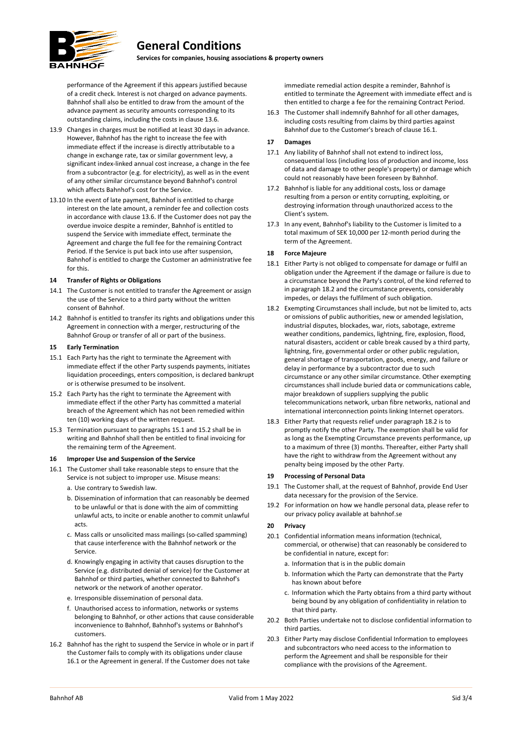

# **General Conditions**

**Services for companies, housing associations & property owners**

performance of the Agreement if this appears justified because of a credit check. Interest is not charged on advance payments. Bahnhof shall also be entitled to draw from the amount of the advance payment as security amounts corresponding to its outstanding claims, including the costs in clause [13.6.](#page-1-0)

- 13.9 Changes in charges must be notified at least 30 days in advance. However, Bahnhof has the right to increase the fee with immediate effect if the increase is directly attributable to a change in exchange rate, tax or similar government levy, a significant index-linked annual cost increase, a change in the fee from a subcontractor (e.g. for electricity), as well as in the event of any other similar circumstance beyond Bahnhof's control which affects Bahnhof's cost for the Service.
- 13.10 In the event of late payment, Bahnhof is entitled to charge interest on the late amount, a reminder fee and collection costs in accordance with claus[e 13.6.](#page-1-0) If the Customer does not pay the overdue invoice despite a reminder, Bahnhof is entitled to suspend the Service with immediate effect, terminate the Agreement and charge the full fee for the remaining Contract Period. If the Service is put back into use after suspension, Bahnhof is entitled to charge the Customer an administrative fee for this.

#### **14 Transfer of Rights or Obligations**

- 14.1 The Customer is not entitled to transfer the Agreement or assign the use of the Service to a third party without the written consent of Bahnhof.
- 14.2 Bahnhof is entitled to transfer its rights and obligations under this Agreement in connection with a merger, restructuring of the Bahnhof Group or transfer of all or part of the business.

#### **15 Early Termination**

- <span id="page-2-1"></span>15.1 Each Party has the right to terminate the Agreement with immediate effect if the other Party suspends payments, initiates liquidation proceedings, enters composition, is declared bankrupt or is otherwise presumed to be insolvent.
- <span id="page-2-2"></span>15.2 Each Party has the right to terminate the Agreement with immediate effect if the other Party has committed a material breach of the Agreement which has not been remedied within ten (10) working days of the written request.
- 15.3 Termination pursuant to paragraph[s 15.1](#page-2-1) an[d 15.2](#page-2-2) shall be in writing and Bahnhof shall then be entitled to final invoicing for the remaining term of the Agreement.

#### **16 Improper Use and Suspension of the Service**

- <span id="page-2-3"></span>16.1 The Customer shall take reasonable steps to ensure that the Service is not subject to improper use. Misuse means: a. Use contrary to Swedish law.
	- b. Dissemination of information that can reasonably be deemed to be unlawful or that is done with the aim of committing unlawful acts, to incite or enable another to commit unlawful acts.
	- c. Mass calls or unsolicited mass mailings (so-called spamming) that cause interference with the Bahnhof network or the Service.
	- d. Knowingly engaging in activity that causes disruption to the Service (e.g. distributed denial of service) for the Customer at Bahnhof or third parties, whether connected to Bahnhof's network or the network of another operator.
	- e. Irresponsible dissemination of personal data.
	- f. Unauthorised access to information, networks or systems belonging to Bahnhof, or other actions that cause considerable inconvenience to Bahnhof, Bahnhof's systems or Bahnhof's customers.
- 16.2 Bahnhof has the right to suspend the Service in whole or in part if the Customer fails to comply with its obligations under clause [16.1](#page-2-3) or the Agreement in general. If the Customer does not take

immediate remedial action despite a reminder, Bahnhof is entitled to terminate the Agreement with immediate effect and is then entitled to charge a fee for the remaining Contract Period.

16.3 The Customer shall indemnify Bahnhof for all other damages, including costs resulting from claims by third parties against Bahnhof due to the Customer's breach of claus[e 16.1.](#page-2-3)

# **17 Damages**

- 17.1 Any liability of Bahnhof shall not extend to indirect loss, consequential loss (including loss of production and income, loss of data and damage to other people's property) or damage which could not reasonably have been foreseen by Bahnhof.
- 17.2 Bahnhof is liable for any additional costs, loss or damage resulting from a person or entity corrupting, exploiting, or destroying information through unauthorized access to the Client's system.
- 17.3 In any event, Bahnhof's liability to the Customer is limited to a total maximum of SEK 10,000 per 12-month period during the term of the Agreement.

### <span id="page-2-0"></span>**18 Force Majeure**

- 18.1 Either Party is not obliged to compensate for damage or fulfil an obligation under the Agreement if the damage or failure is due to a circumstance beyond the Party's control, of the kind referred to in paragrap[h 18.2](#page-2-4) and the circumstance prevents, considerably impedes, or delays the fulfilment of such obligation.
- <span id="page-2-4"></span>18.2 Exempting Circumstances shall include, but not be limited to, acts or omissions of public authorities, new or amended legislation, industrial disputes, blockades, war, riots, sabotage, extreme weather conditions, pandemics, lightning, fire, explosion, flood, natural disasters, accident or cable break caused by a third party, lightning, fire, governmental order or other public regulation, general shortage of transportation, goods, energy, and failure or delay in performance by a subcontractor due to such circumstance or any other similar circumstance. Other exempting circumstances shall include buried data or communications cable, major breakdown of suppliers supplying the public telecommunications network, urban fibre networks, national and international interconnection points linking Internet operators.
- 18.3 Either Party that requests relief under paragraph [18.2](#page-2-4) is to promptly notify the other Party. The exemption shall be valid for as long as the Exempting Circumstance prevents performance, up to a maximum of three (3) months. Thereafter, either Party shall have the right to withdraw from the Agreement without any penalty being imposed by the other Party.

#### **19 Processing of Personal Data**

- 19.1 The Customer shall, at the request of Bahnhof, provide End User data necessary for the provision of the Service.
- 19.2 For information on how we handle personal data, please refer to our privacy policy available at bahnhof.se

# **20 Privacy**

- 20.1 Confidential information means information (technical, commercial, or otherwise) that can reasonably be considered to be confidential in nature, except for:
	- a. Information that is in the public domain
	- b. Information which the Party can demonstrate that the Party has known about before
	- c. Information which the Party obtains from a third party without being bound by any obligation of confidentiality in relation to that third party.
- 20.2 Both Parties undertake not to disclose confidential information to third parties.
- 20.3 Either Party may disclose Confidential Information to employees and subcontractors who need access to the information to perform the Agreement and shall be responsible for their compliance with the provisions of the Agreement.